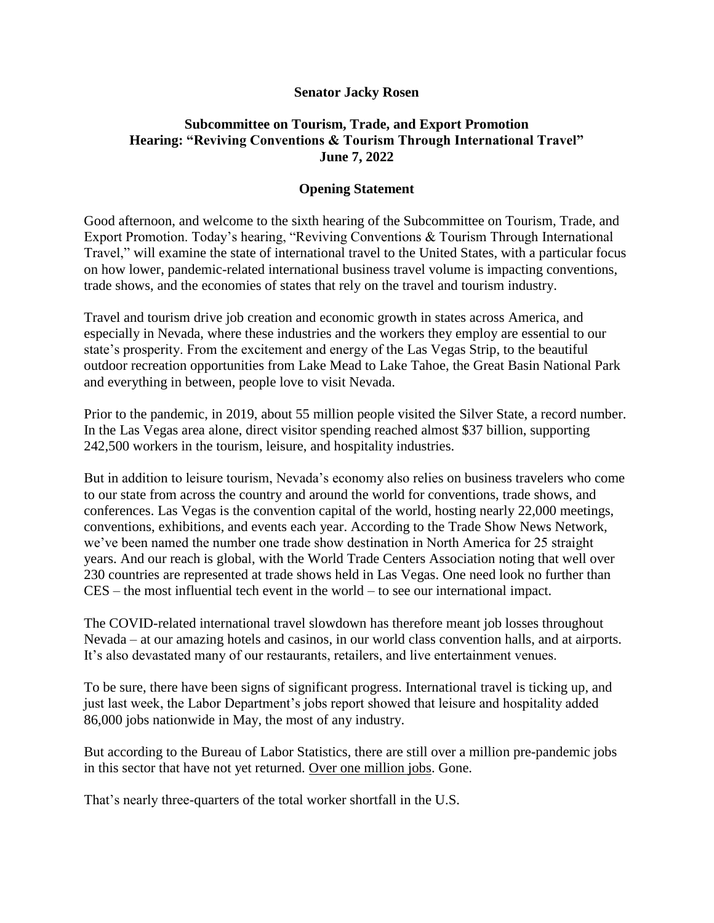## **Senator Jacky Rosen**

## **Subcommittee on Tourism, Trade, and Export Promotion Hearing: "Reviving Conventions & Tourism Through International Travel" June 7, 2022**

## **Opening Statement**

Good afternoon, and welcome to the sixth hearing of the Subcommittee on Tourism, Trade, and Export Promotion. Today's hearing, "Reviving Conventions & Tourism Through International Travel," will examine the state of international travel to the United States, with a particular focus on how lower, pandemic-related international business travel volume is impacting conventions, trade shows, and the economies of states that rely on the travel and tourism industry.

Travel and tourism drive job creation and economic growth in states across America, and especially in Nevada, where these industries and the workers they employ are essential to our state's prosperity. From the excitement and energy of the Las Vegas Strip, to the beautiful outdoor recreation opportunities from Lake Mead to Lake Tahoe, the Great Basin National Park and everything in between, people love to visit Nevada.

Prior to the pandemic, in 2019, about 55 million people visited the Silver State, a record number. In the Las Vegas area alone, direct visitor spending reached almost \$37 billion, supporting 242,500 workers in the tourism, leisure, and hospitality industries.

But in addition to leisure tourism, Nevada's economy also relies on business travelers who come to our state from across the country and around the world for conventions, trade shows, and conferences. Las Vegas is the convention capital of the world, hosting nearly 22,000 meetings, conventions, exhibitions, and events each year. According to the Trade Show News Network, we've been named the number one trade show destination in North America for 25 straight years. And our reach is global, with the World Trade Centers Association noting that well over 230 countries are represented at trade shows held in Las Vegas. One need look no further than CES – the most influential tech event in the world – to see our international impact.

The COVID-related international travel slowdown has therefore meant job losses throughout Nevada – at our amazing hotels and casinos, in our world class convention halls, and at airports. It's also devastated many of our restaurants, retailers, and live entertainment venues.

To be sure, there have been signs of significant progress. International travel is ticking up, and just last week, the Labor Department's jobs report showed that leisure and hospitality added 86,000 jobs nationwide in May, the most of any industry.

But according to the Bureau of Labor Statistics, there are still over a million pre-pandemic jobs in this sector that have not yet returned. Over one million jobs. Gone.

That's nearly three-quarters of the total worker shortfall in the U.S.